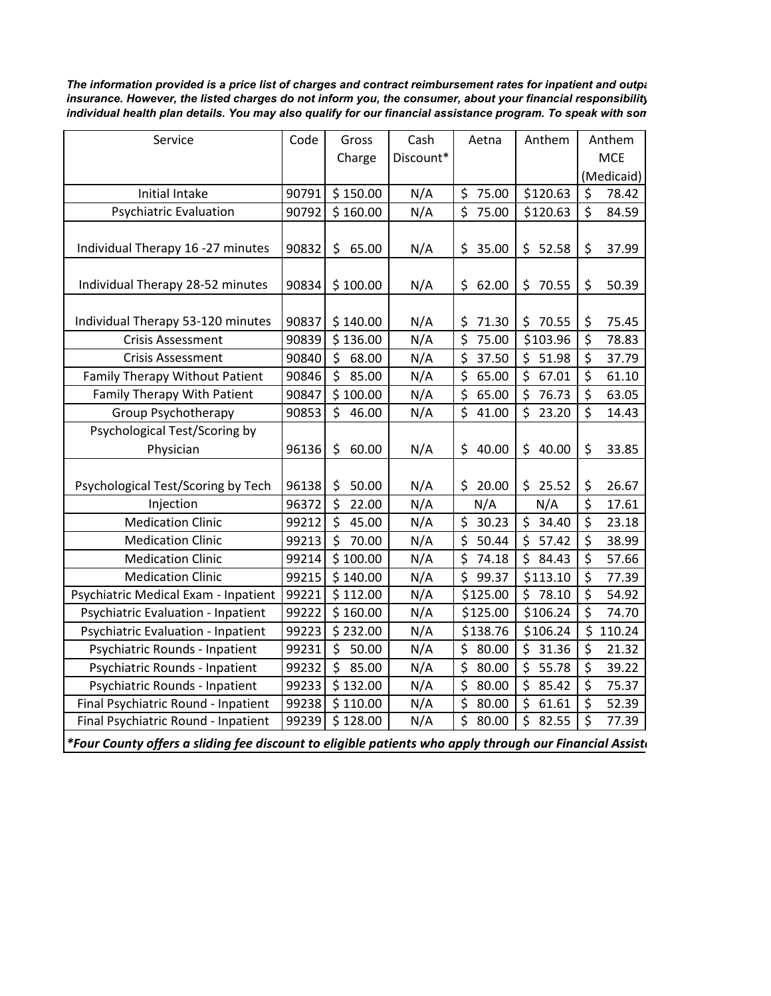*The information provided is a price list of charges and contract reimbursement rates for inpatient and outpa insurance. However, the listed charges do not inform you, the consumer, about your financial responsibility individual health plan details. You may also qualify for our financial assistance program. To speak with som* 

| Service                                   | Code  | Gross       | Cash      | Aetna       | Anthem      | Anthem |            |  |
|-------------------------------------------|-------|-------------|-----------|-------------|-------------|--------|------------|--|
|                                           |       | Charge      | Discount* |             |             |        | <b>MCE</b> |  |
|                                           |       |             |           |             |             |        | (Medicaid) |  |
| <b>Initial Intake</b>                     | 90791 | \$150.00    | N/A       | \$<br>75.00 | \$120.63    | \$     | 78.42      |  |
| <b>Psychiatric Evaluation</b>             | 90792 | \$160.00    | N/A       | Ś<br>75.00  | \$120.63    | \$     | 84.59      |  |
|                                           |       |             |           |             |             |        |            |  |
| Individual Therapy 16 -27 minutes         | 90832 | \$<br>65.00 | N/A       | \$<br>35.00 | \$<br>52.58 | \$     | 37.99      |  |
|                                           |       |             |           |             |             |        |            |  |
| Individual Therapy 28-52 minutes          | 90834 | \$100.00    | N/A       | \$<br>62.00 | \$<br>70.55 | \$     | 50.39      |  |
|                                           |       |             |           |             |             |        |            |  |
| Individual Therapy 53-120 minutes         | 90837 | \$140.00    | N/A       | 71.30<br>\$ | \$<br>70.55 | \$     | 75.45      |  |
| <b>Crisis Assessment</b>                  | 90839 | \$136.00    | N/A       | \$<br>75.00 | \$103.96    | \$     | 78.83      |  |
| <b>Crisis Assessment</b>                  | 90840 | \$<br>68.00 | N/A       | \$<br>37.50 | \$<br>51.98 | \$     | 37.79      |  |
| Family Therapy Without Patient            | 90846 | \$<br>85.00 | N/A       | \$<br>65.00 | 67.01<br>\$ | \$     | 61.10      |  |
| Family Therapy With Patient               | 90847 | \$100.00    | N/A       | \$<br>65.00 | \$<br>76.73 | \$     | 63.05      |  |
| <b>Group Psychotherapy</b>                | 90853 | \$<br>46.00 | N/A       | \$<br>41.00 | \$<br>23.20 | \$     | 14.43      |  |
| Psychological Test/Scoring by             |       |             |           |             |             |        |            |  |
| Physician                                 | 96136 | 60.00<br>\$ | N/A       | \$<br>40.00 | \$<br>40.00 | \$     | 33.85      |  |
|                                           |       |             |           |             |             |        |            |  |
| Psychological Test/Scoring by Tech        | 96138 | \$<br>50.00 | N/A       | 20.00<br>\$ | \$25.52     | \$     | 26.67      |  |
| Injection                                 | 96372 | \$<br>22.00 | N/A       | N/A         | N/A         | \$     | 17.61      |  |
| <b>Medication Clinic</b>                  | 99212 | \$<br>45.00 | N/A       | \$<br>30.23 | \$<br>34.40 | \$     | 23.18      |  |
| <b>Medication Clinic</b>                  | 99213 | \$<br>70.00 | N/A       | \$<br>50.44 | \$<br>57.42 | \$     | 38.99      |  |
| <b>Medication Clinic</b>                  | 99214 | \$100.00    | N/A       | \$<br>74.18 | \$<br>84.43 | \$     | 57.66      |  |
| <b>Medication Clinic</b>                  | 99215 | \$140.00    | N/A       | \$<br>99.37 | \$113.10    | \$     | 77.39      |  |
| Psychiatric Medical Exam - Inpatient      | 99221 | \$112.00    | N/A       | \$125.00    | Ś<br>78.10  | \$     | 54.92      |  |
| <b>Psychiatric Evaluation - Inpatient</b> | 99222 | \$160.00    | N/A       | \$125.00    | \$106.24    | \$     | 74.70      |  |
| <b>Psychiatric Evaluation - Inpatient</b> | 99223 | \$232.00    | N/A       | \$138.76    | \$106.24    | \$     | 110.24     |  |
| Psychiatric Rounds - Inpatient            | 99231 | 50.00<br>\$ | N/A       | \$<br>80.00 | \$<br>31.36 | \$     | 21.32      |  |
| Psychiatric Rounds - Inpatient            | 99232 | \$<br>85.00 | N/A       | \$<br>80.00 | \$<br>55.78 | \$     | 39.22      |  |
| Psychiatric Rounds - Inpatient            | 99233 | \$132.00    | N/A       | \$<br>80.00 | \$<br>85.42 | \$     | 75.37      |  |
| Final Psychiatric Round - Inpatient       | 99238 | \$110.00    | N/A       | \$<br>80.00 | \$<br>61.61 | \$     | 52.39      |  |
| Final Psychiatric Round - Inpatient       | 99239 | \$128.00    | N/A       | \$<br>80.00 | \$<br>82.55 | \$     | 77.39      |  |

*\*Four County offers a sliding fee discount to eligible patients who apply through our Financial Assista*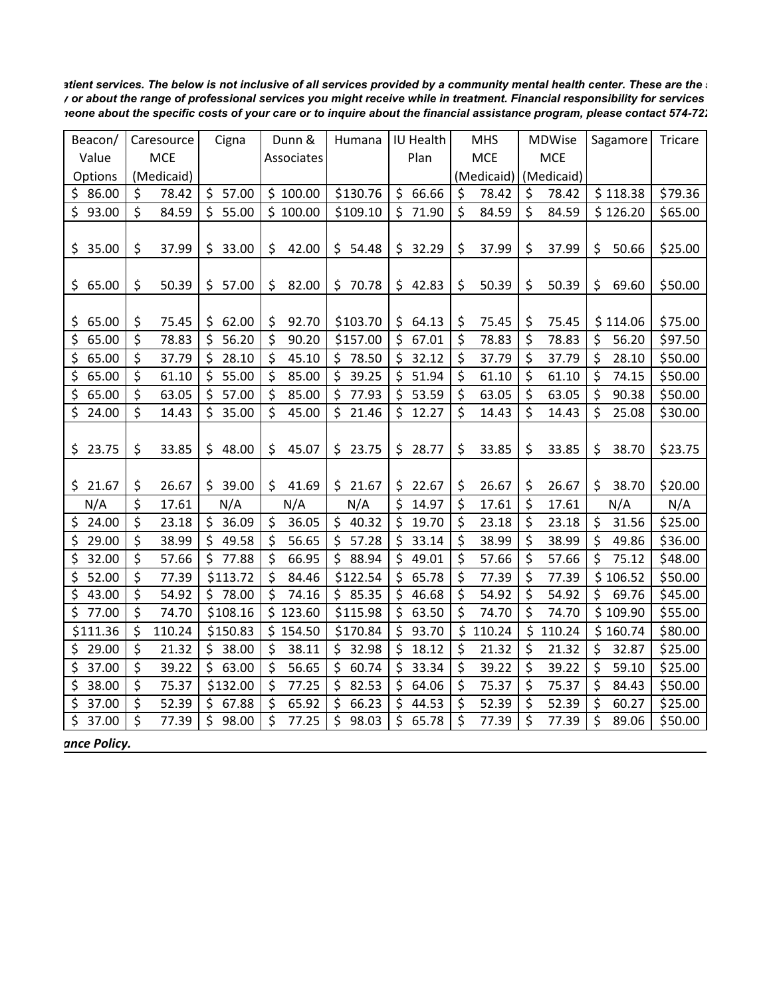*atient services. The below is not inclusive of all services provided by a community mental health center. These are the s y or about the range of professional services you might receive while in treatment. Financial responsibility for services meone about the specific costs of your care or to inquire about the financial assistance program, please contact 574-722*

| Beacon/     |         | Caresource |     | Cigna    | Dunn &      | Humana      |      | IU Health |            | <b>MHS</b> |            | <b>MDWise</b> |         | Sagamore | Tricare |
|-------------|---------|------------|-----|----------|-------------|-------------|------|-----------|------------|------------|------------|---------------|---------|----------|---------|
| Value       |         | <b>MCE</b> |     |          | Associates  |             | Plan |           | <b>MCE</b> |            | <b>MCE</b> |               |         |          |         |
| Options     |         | (Medicaid) |     |          |             |             |      |           |            | (Medicaid) |            | (Medicaid)    |         |          |         |
| \$<br>86.00 | \$      | 78.42      |     | \$57.00  | \$100.00    | \$130.76    | \$   | 66.66     | \$         | 78.42      | \$         | 78.42         |         | \$118.38 | \$79.36 |
| \$93.00     | \$      | 84.59      |     | \$55.00  | \$100.00    | \$109.10    | \$.  | 71.90     | \$         | 84.59      | $\zeta$    | 84.59         |         | \$126.20 | \$65.00 |
|             |         |            |     |          |             |             |      |           |            |            |            |               |         |          |         |
| 35.00<br>\$ | \$      | 37.99      | \$  | 33.00    | \$<br>42.00 | \$<br>54.48 | \$   | 32.29     | \$         | 37.99      | \$         | 37.99         | \$      | 50.66    | \$25.00 |
|             |         |            |     |          |             |             |      |           |            |            |            |               |         |          |         |
| 65.00<br>\$ | \$      | 50.39      |     | \$57.00  | \$<br>82.00 | \$70.78     |      | \$42.83   | \$         | 50.39      | \$         | 50.39         | \$      | 69.60    | \$50.00 |
|             |         |            |     |          |             |             |      |           |            |            |            |               |         |          |         |
| 65.00<br>\$ | \$      | 75.45      | \$. | 62.00    | \$<br>92.70 | \$103.70    | \$.  | 64.13     | \$         | 75.45      | \$         | 75.45         |         | \$114.06 | \$75.00 |
| \$<br>65.00 | \$      | 78.83      | \$  | 56.20    | \$<br>90.20 | \$157.00    | \$   | 67.01     | \$         | 78.83      | \$         | 78.83         | \$      | 56.20    | \$97.50 |
| \$<br>65.00 | \$      | 37.79      | \$  | 28.10    | \$<br>45.10 | \$<br>78.50 | \$.  | 32.12     | $\zeta$    | 37.79      | \$         | 37.79         | \$      | 28.10    | \$50.00 |
| \$<br>65.00 | \$      | 61.10      | \$  | 55.00    | \$<br>85.00 | \$<br>39.25 | \$.  | 51.94     | \$         | 61.10      | \$         | 61.10         | \$      | 74.15    | \$50.00 |
| \$<br>65.00 | \$      | 63.05      |     | \$57.00  | \$<br>85.00 | \$<br>77.93 |      | \$53.59   | $\zeta$    | 63.05      | \$         | 63.05         | $\zeta$ | 90.38    | \$50.00 |
| \$<br>24.00 | $\zeta$ | 14.43      | \$. | 35.00    | \$<br>45.00 | \$21.46     |      | \$12.27   | \$         | 14.43      | \$         | 14.43         | \$      | 25.08    | \$30.00 |
|             |         |            |     |          |             |             |      |           |            |            |            |               |         |          |         |
| \$<br>23.75 | \$      | 33.85      | \$. | 48.00    | \$<br>45.07 | \$23.75     | \$.  | 28.77     | \$         | 33.85      | \$         | 33.85         | \$      | 38.70    | \$23.75 |
|             |         |            |     |          |             |             |      |           |            |            |            |               |         |          |         |
| \$21.67     | \$      | 26.67      |     | \$39.00  | \$<br>41.69 | \$21.67     |      | \$22.67   | \$         | 26.67      | \$         | 26.67         | \$      | 38.70    | \$20.00 |
| N/A         | \$      | 17.61      |     | N/A      | N/A         | N/A         | \$   | 14.97     | \$         | 17.61      | \$         | 17.61         |         | N/A      | N/A     |
| 24.00<br>\$ | \$      | 23.18      |     | \$36.09  | \$<br>36.05 | \$40.32     |      | \$19.70   | \$         | 23.18      | \$         | 23.18         | \$      | 31.56    | \$25.00 |
| 29.00<br>\$ | \$      | 38.99      | \$  | 49.58    | \$<br>56.65 | \$<br>57.28 | \$   | 33.14     | $\zeta$    | 38.99      | \$         | 38.99         | \$      | 49.86    | \$36.00 |
| \$<br>32.00 | \$      | 57.66      |     | \$77.88  | \$<br>66.95 | \$<br>88.94 | \$   | 49.01     | \$         | 57.66      | \$         | 57.66         | \$      | 75.12    | \$48.00 |
| \$<br>52.00 | \$      | 77.39      |     | \$113.72 | \$<br>84.46 | \$122.54    | \$   | 65.78     | $\zeta$    | 77.39      | \$         | 77.39         |         | \$106.52 | \$50.00 |
| \$<br>43.00 | \$      | 54.92      |     | \$78.00  | \$<br>74.16 | \$85.35     | \$   | 46.68     | $\zeta$    | 54.92      | \$         | 54.92         | \$      | 69.76    | \$45.00 |
| \$<br>77.00 | $\zeta$ | 74.70      |     | \$108.16 | \$123.60    | \$115.98    | \$   | 63.50     | $\zeta$    | 74.70      | \$         | 74.70         |         | \$109.90 | \$55.00 |
| \$111.36    | \$      | 110.24     |     | \$150.83 | \$154.50    | \$170.84    | \$   | 93.70     | \$         | 110.24     | \$         | 110.24        |         | \$160.74 | \$80.00 |
| \$<br>29.00 | \$      | 21.32      |     | \$38.00  | \$<br>38.11 | \$32.98     | \$   | 18.12     | \$         | 21.32      | \$         | 21.32         | \$      | 32.87    | \$25.00 |
| \$<br>37.00 | $\zeta$ | 39.22      |     | \$63.00  | \$<br>56.65 | \$<br>60.74 | \$   | 33.34     | \$         | 39.22      | \$         | 39.22         | \$      | 59.10    | \$25.00 |
| \$<br>38.00 | \$      | 75.37      |     | \$132.00 | \$<br>77.25 | \$<br>82.53 | \$   | 64.06     | \$         | 75.37      | \$         | 75.37         | \$      | 84.43    | \$50.00 |
| \$<br>37.00 | \$      | 52.39      |     | \$67.88  | \$<br>65.92 | \$<br>66.23 | \$   | 44.53     | \$         | 52.39      | \$         | 52.39         | \$      | 60.27    | \$25.00 |
| \$<br>37.00 | \$      | 77.39      | \$  | 98.00    | \$<br>77.25 | \$<br>98.03 | \$   | 65.78     | \$         | 77.39      | \$         | 77.39         | \$      | 89.06    | \$50.00 |

 *ance Policy.*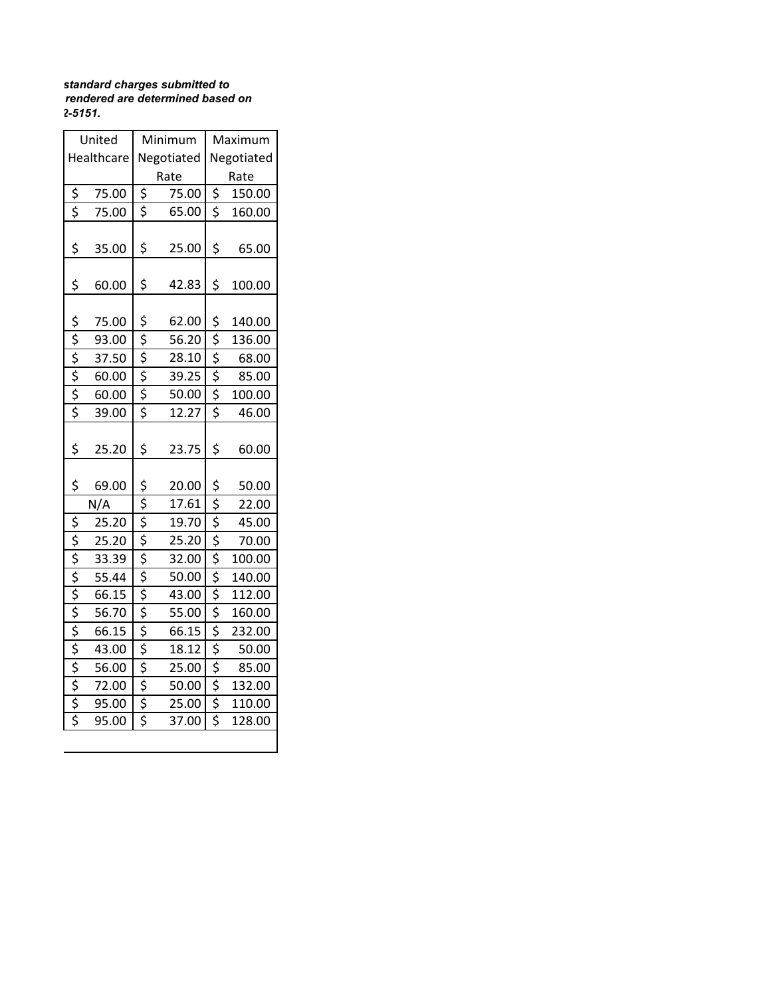## *standard charges submitted to rendered are determined based on 2-5151.*

|                                                                  | United     |                                | Minimum    | Maximum                             |        |  |  |  |
|------------------------------------------------------------------|------------|--------------------------------|------------|-------------------------------------|--------|--|--|--|
|                                                                  | Healthcare |                                | Negotiated | Negotiated                          |        |  |  |  |
|                                                                  |            |                                | Rate       | Rate                                |        |  |  |  |
| <u>\$</u>                                                        | 75.00      | \$                             | 75.00      | \$                                  | 150.00 |  |  |  |
| $\overline{\xi}$                                                 | 75.00      | \$                             | 65.00      | $\overline{\xi}$                    | 160.00 |  |  |  |
| \$                                                               | 35.00      | \$                             | 25.00      | \$                                  | 65.00  |  |  |  |
| \$                                                               | 60.00      | \$                             | 42.83      | \$                                  | 100.00 |  |  |  |
| \$                                                               | 75.00      | \$                             | 62.00      | \$                                  | 140.00 |  |  |  |
|                                                                  | 93.00      | $\frac{1}{5}$                  | 56.20      | \$                                  | 136.00 |  |  |  |
| $\frac{1}{2}$<br>$\frac{1}{2}$<br>$\frac{1}{2}$<br>$\frac{1}{2}$ | 37.50      | \$                             | 28.10      | $rac{5}{5}$                         | 68.00  |  |  |  |
|                                                                  | 60.00      | $\frac{1}{2}$                  | 39.25      |                                     | 85.00  |  |  |  |
|                                                                  | 60.00      | $\overline{\xi}$               | 50.00      | \$                                  | 100.00 |  |  |  |
|                                                                  | 39.00      | \$                             | 12.27      | $\overline{\boldsymbol{\varsigma}}$ | 46.00  |  |  |  |
| \$                                                               | 25.20      | \$                             | 23.75      | \$                                  | 60.00  |  |  |  |
| \$                                                               | 69.00      | \$                             | 20.00      | \$                                  | 50.00  |  |  |  |
|                                                                  | N/A        | \$                             | 17.61      | \$                                  | 22.00  |  |  |  |
| \$                                                               | 25.20      | \$                             | 19.70      | \$                                  | 45.00  |  |  |  |
|                                                                  | 25.20      | $\overline{\xi}$               | 25.20      | \$                                  | 70.00  |  |  |  |
|                                                                  | 33.39      | $\overline{\xi}$               | 32.00      | $\frac{1}{5}$                       | 100.00 |  |  |  |
|                                                                  | 55.44      | $\overline{\xi}$               | 50.00      | $\frac{1}{5}$                       | 140.00 |  |  |  |
|                                                                  | 66.15      | \$                             | 43.00      | \$                                  | 112.00 |  |  |  |
| � � � � � � � � � �                                              | 56.70      | $\overline{\xi}$               | 55.00      | $\overline{\xi}$                    | 160.00 |  |  |  |
|                                                                  | 66.15      | \$                             | 66.15      | \$                                  | 232.00 |  |  |  |
|                                                                  | 43.00      | $\overline{\xi}$               | 18.12      | \$                                  | 50.00  |  |  |  |
|                                                                  | 56.00      | \$                             | 25.00      | $rac{5}{5}$                         | 85.00  |  |  |  |
|                                                                  | 72.00      | $\frac{1}{2}$<br>$\frac{1}{2}$ | 50.00      |                                     | 132.00 |  |  |  |
|                                                                  | 95.00      |                                | 25.00      | \$                                  | 110.00 |  |  |  |
|                                                                  | 95.00      |                                | 37.00      | Ŝ                                   | 128.00 |  |  |  |
|                                                                  |            |                                |            |                                     |        |  |  |  |